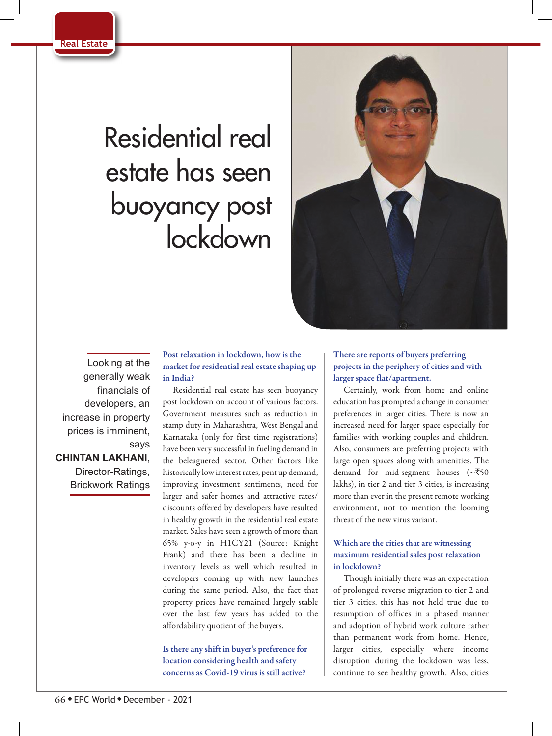

# Residential real estate has seen buoyancy post lockdown



Looking at the generally weak financials of developers, an increase in property prices is imminent, says **CHINTAN LAKHANI**, Director-Ratings, Brickwork Ratings

Post relaxation in lockdown, how is the market for residential real estate shaping up in India?

Residential real estate has seen buoyancy post lockdown on account of various factors. Government measures such as reduction in stamp duty in Maharashtra, West Bengal and Karnataka (only for first time registrations) have been very successful in fueling demand in the beleaguered sector. Other factors like historically low interest rates, pent up demand, improving investment sentiments, need for larger and safer homes and attractive rates/ discounts offered by developers have resulted in healthy growth in the residential real estate market. Sales have seen a growth of more than 65% y-o-y in H1CY21 (Source: Knight Frank) and there has been a decline in inventory levels as well which resulted in developers coming up with new launches during the same period. Also, the fact that property prices have remained largely stable over the last few years has added to the affordability quotient of the buyers.

Is there any shift in buyer's preference for location considering health and safety concerns as Covid-19 virus is still active?

## There are reports of buyers preferring projects in the periphery of cities and with larger space flat/apartment.

Certainly, work from home and online education has prompted a change in consumer preferences in larger cities. There is now an increased need for larger space especially for families with working couples and children. Also, consumers are preferring projects with large open spaces along with amenities. The demand for mid-segment houses ( $\sim$ ₹50 lakhs), in tier 2 and tier 3 cities, is increasing more than ever in the present remote working environment, not to mention the looming threat of the new virus variant.

# Which are the cities that are witnessing maximum residential sales post relaxation in lockdown?

Though initially there was an expectation of prolonged reverse migration to tier 2 and tier 3 cities, this has not held true due to resumption of offices in a phased manner and adoption of hybrid work culture rather than permanent work from home. Hence, larger cities, especially where income disruption during the lockdown was less, continue to see healthy growth. Also, cities